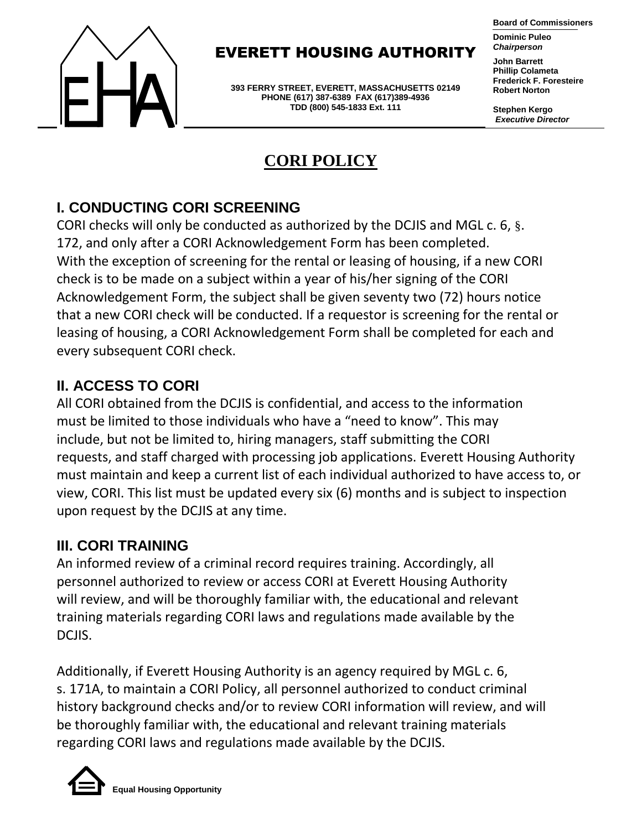

### EVERETT HOUSING AUTHORITY

**393 FERRY STREET, EVERETT, MASSACHUSETTS 02149 PHONE (617) 387-6389 FAX (617)389-4936 TDD (800) 545-1833 Ext. 111**

#### **Board of Commissioners**

**Dominic Puleo** *Chairperson*

**John Barrett Phillip Colameta Frederick F. Foresteire Robert Norton**

**Stephen Kergo** *Executive Director*

# **CORI POLICY**

#### **I. CONDUCTING CORI SCREENING**

CORI checks will only be conducted as authorized by the DCJIS and MGL c. 6, §. 172, and only after a CORI Acknowledgement Form has been completed. With the exception of screening for the rental or leasing of housing, if a new CORI check is to be made on a subject within a year of his/her signing of the CORI Acknowledgement Form, the subject shall be given seventy two (72) hours notice that a new CORI check will be conducted. If a requestor is screening for the rental or leasing of housing, a CORI Acknowledgement Form shall be completed for each and every subsequent CORI check.

#### **II. ACCESS TO CORI**

All CORI obtained from the DCJIS is confidential, and access to the information must be limited to those individuals who have a "need to know". This may include, but not be limited to, hiring managers, staff submitting the CORI requests, and staff charged with processing job applications. Everett Housing Authority must maintain and keep a current list of each individual authorized to have access to, or view, CORI. This list must be updated every six (6) months and is subject to inspection upon request by the DCJIS at any time.

#### **III. CORI TRAINING**

An informed review of a criminal record requires training. Accordingly, all personnel authorized to review or access CORI at Everett Housing Authority will review, and will be thoroughly familiar with, the educational and relevant training materials regarding CORI laws and regulations made available by the DCJIS.

Additionally, if Everett Housing Authority is an agency required by MGL c. 6, s. 171A, to maintain a CORI Policy, all personnel authorized to conduct criminal history background checks and/or to review CORI information will review, and will be thoroughly familiar with, the educational and relevant training materials regarding CORI laws and regulations made available by the DCJIS.

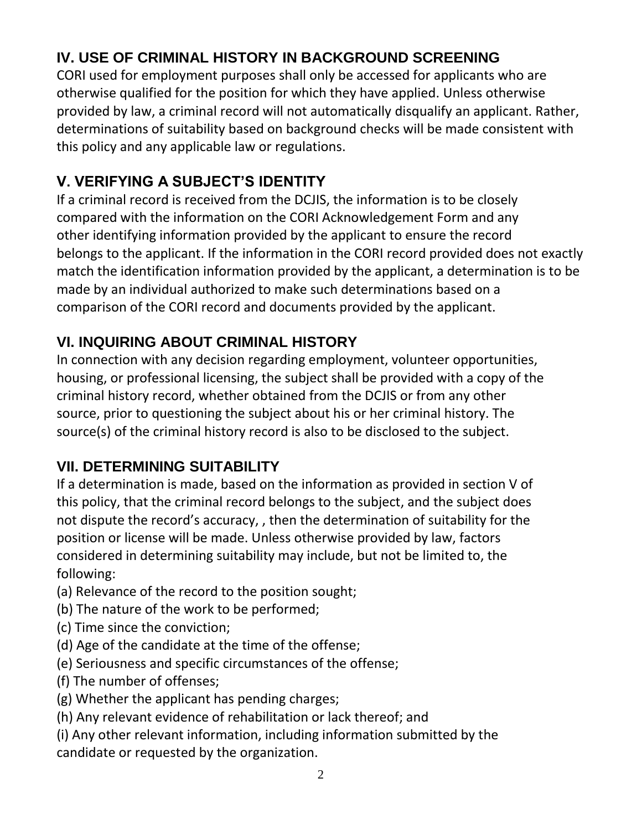# **IV. USE OF CRIMINAL HISTORY IN BACKGROUND SCREENING**

CORI used for employment purposes shall only be accessed for applicants who are otherwise qualified for the position for which they have applied. Unless otherwise provided by law, a criminal record will not automatically disqualify an applicant. Rather, determinations of suitability based on background checks will be made consistent with this policy and any applicable law or regulations.

# **V. VERIFYING A SUBJECT'S IDENTITY**

If a criminal record is received from the DCJIS, the information is to be closely compared with the information on the CORI Acknowledgement Form and any other identifying information provided by the applicant to ensure the record belongs to the applicant. If the information in the CORI record provided does not exactly match the identification information provided by the applicant, a determination is to be made by an individual authorized to make such determinations based on a comparison of the CORI record and documents provided by the applicant.

# **VI. INQUIRING ABOUT CRIMINAL HISTORY**

In connection with any decision regarding employment, volunteer opportunities, housing, or professional licensing, the subject shall be provided with a copy of the criminal history record, whether obtained from the DCJIS or from any other source, prior to questioning the subject about his or her criminal history. The source(s) of the criminal history record is also to be disclosed to the subject.

# **VII. DETERMINING SUITABILITY**

If a determination is made, based on the information as provided in section V of this policy, that the criminal record belongs to the subject, and the subject does not dispute the record's accuracy, , then the determination of suitability for the position or license will be made. Unless otherwise provided by law, factors considered in determining suitability may include, but not be limited to, the following:

- (a) Relevance of the record to the position sought;
- (b) The nature of the work to be performed;
- (c) Time since the conviction;
- (d) Age of the candidate at the time of the offense;
- (e) Seriousness and specific circumstances of the offense;
- (f) The number of offenses;
- (g) Whether the applicant has pending charges;
- (h) Any relevant evidence of rehabilitation or lack thereof; and
- (i) Any other relevant information, including information submitted by the candidate or requested by the organization.